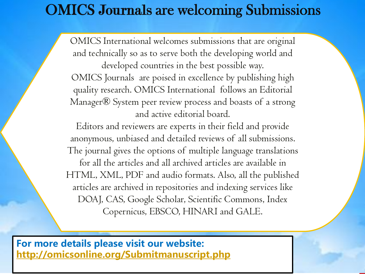# OMICS Journals are welcoming Submissions

OMICS International welcomes submissions that are original and technically so as to serve both the developing world and developed countries in the best possible way. OMICS Journals are poised in excellence by publishing high quality research. OMICS International follows an Editorial Manager® System peer review process and boasts of a strong and active editorial board.

Editors and reviewers are experts in their field and provide anonymous, unbiased and detailed reviews of all submissions. The journal gives the options of multiple language translations for all the articles and all archived articles are available in HTML, XML, PDF and audio formats. Also, all the published articles are archived in repositories and indexing services like DOAJ, CAS, Google Scholar, Scientific Commons, Index Copernicus, EBSCO, HINARI and GALE.

**For more details please visit our website: <http://omicsonline.org/Submitmanuscript.php>**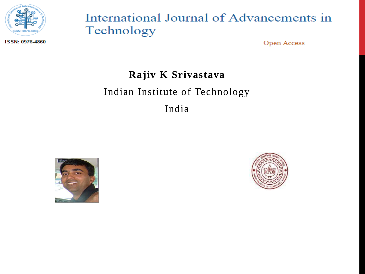

## International Journal of Advancements in Technology

ISSN: 0976-4860

**Open Access** 

### **Rajiv K Srivastava**

### Indian Institute of Technology

India



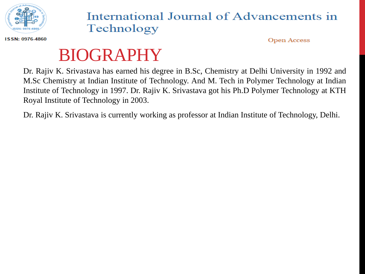

## International Journal of Advancements in Technology

**Open Access** 

#### ISSN: 0976-4860

# BIOGRAPHY

Dr. Rajiv K. Srivastava has earned his degree in B.Sc, Chemistry at Delhi University in 1992 and M.Sc Chemistry at Indian Institute of Technology. And M. Tech in Polymer Technology at Indian Institute of Technology in 1997. Dr. Rajiv K. Srivastava got his Ph.D Polymer Technology at KTH Royal Institute of Technology in 2003.

Dr. Rajiv K. Srivastava is currently working as professor at Indian Institute of Technology, Delhi.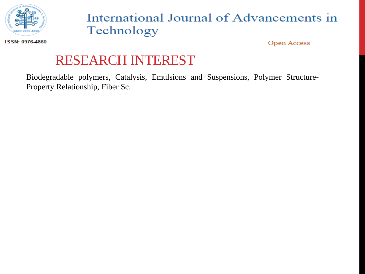

# International Journal of Advancements in Technology

ISSN: 0976-4860

**Open Access** 

# RESEARCH INTEREST

Biodegradable polymers, Catalysis, Emulsions and Suspensions, Polymer Structure-Property Relationship, Fiber Sc.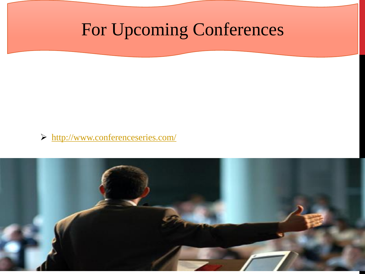# For Upcoming Conferences

<http://www.conferenceseries.com/>